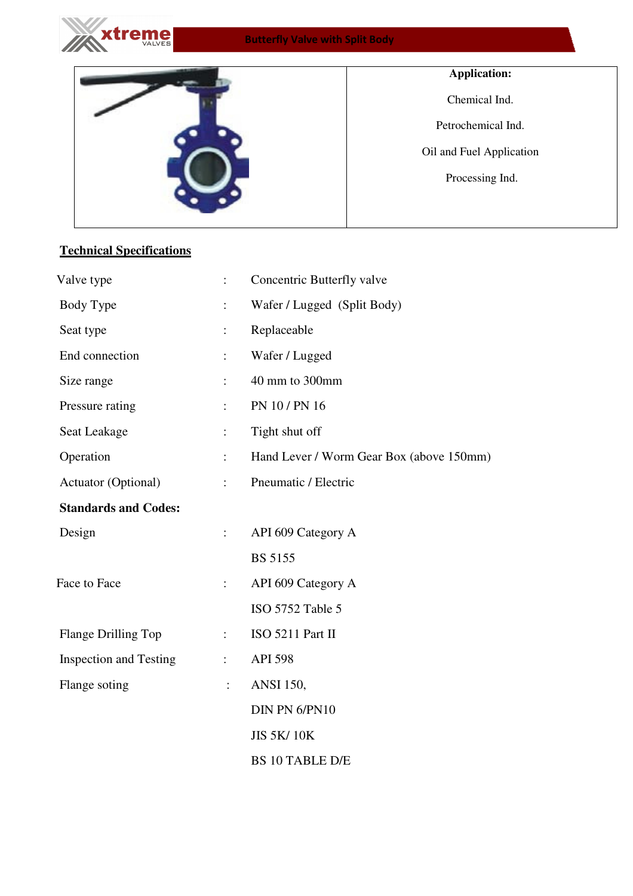

## Butterfly Valve with Split Body



## **Technical Specifications**

| Valve type                    | $\ddot{\cdot}$       | Concentric Butterfly valve               |  |  |  |  |  |  |  |
|-------------------------------|----------------------|------------------------------------------|--|--|--|--|--|--|--|
| Body Type                     |                      | Wafer / Lugged (Split Body)              |  |  |  |  |  |  |  |
| Seat type                     | $\ddot{\phantom{a}}$ | Replaceable                              |  |  |  |  |  |  |  |
| End connection                | $\ddot{\phantom{a}}$ | Wafer / Lugged                           |  |  |  |  |  |  |  |
| Size range                    | ÷                    | 40 mm to 300mm                           |  |  |  |  |  |  |  |
| Pressure rating               | ÷                    | PN 10 / PN 16                            |  |  |  |  |  |  |  |
| Seat Leakage                  | $\ddot{\phantom{a}}$ | Tight shut off                           |  |  |  |  |  |  |  |
| Operation                     | ÷                    | Hand Lever / Worm Gear Box (above 150mm) |  |  |  |  |  |  |  |
| Actuator (Optional)           | $\ddot{\cdot}$       | Pneumatic / Electric                     |  |  |  |  |  |  |  |
| <b>Standards and Codes:</b>   |                      |                                          |  |  |  |  |  |  |  |
| Design                        | $\ddot{\cdot}$       | API 609 Category A                       |  |  |  |  |  |  |  |
|                               |                      | <b>BS 5155</b>                           |  |  |  |  |  |  |  |
| Face to Face                  | $\ddot{\phantom{a}}$ | API 609 Category A                       |  |  |  |  |  |  |  |
|                               |                      | ISO 5752 Table 5                         |  |  |  |  |  |  |  |
| Flange Drilling Top           | $\ddot{\phantom{a}}$ | ISO 5211 Part II                         |  |  |  |  |  |  |  |
| <b>Inspection and Testing</b> | $\ddot{\cdot}$       | <b>API 598</b>                           |  |  |  |  |  |  |  |
| Flange soting                 | $\ddot{\cdot}$       | <b>ANSI</b> 150,                         |  |  |  |  |  |  |  |
|                               |                      | DIN PN 6/PN10                            |  |  |  |  |  |  |  |
|                               |                      | <b>JIS 5K/10K</b>                        |  |  |  |  |  |  |  |
|                               |                      | <b>BS 10 TABLE D/E</b>                   |  |  |  |  |  |  |  |